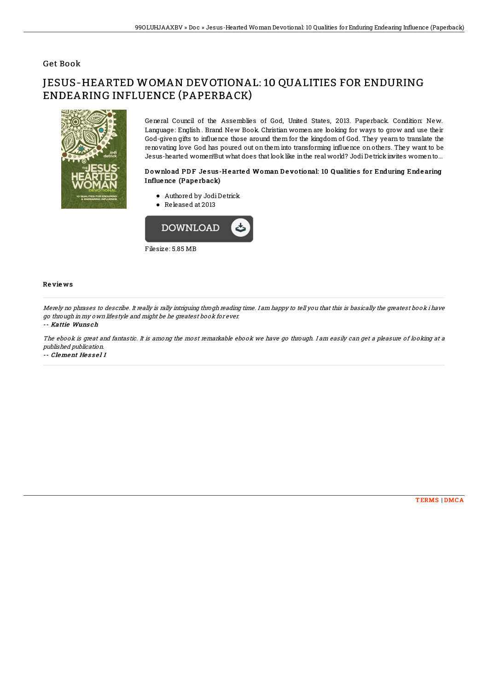## Get Book

# JESUS-HEARTED WOMAN DEVOTIONAL: 10 QUALITIES FOR ENDURING ENDEARING INFLUENCE (PAPERBACK)



General Council of the Assemblies of God, United States, 2013. Paperback. Condition: New. Language: English . Brand New Book. Christian women are looking for ways to grow and use their God-given gifts to influence those around them for the kingdom of God. They yearn to translate the renovating love God has poured out on them into transforming in7uence on others. They want to be Jesus-hearted women!But what does that look like in the real world? Jodi Detrick invites women to...

### Download PDF Jesus-Hearted Woman Devotional: 10 Qualities for Enduring Endearing Influe nce (Pape rback)

- Authored by JodiDetrick
- Released at 2013



Filesize: 5.85 MB

#### Re vie ws

Merely no phrases to describe. It really is rally intriguing throgh reading time. I am happy to tell you that this is basically the greatest book i have go through in my own lifestyle and might be he greatest book for ever.

#### -- Kattie Wuns ch

The ebook is great and fantastic. It is among the most remarkable ebook we have go through. I am easily can get <sup>a</sup> pleasure of looking at <sup>a</sup> published publication.

-- Clement He s s e l I